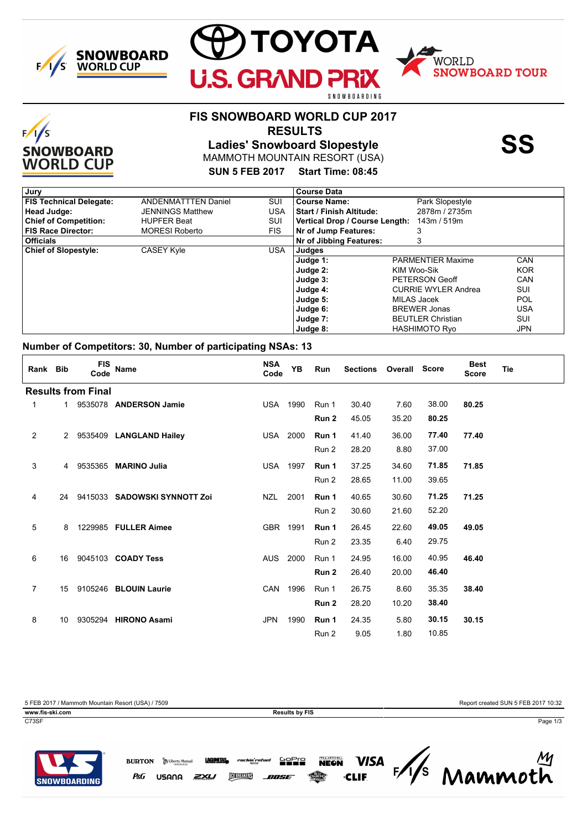

 $F/1/S$ 

**SNOWBOARD WORLD CUP** 



## **FIS SNOWBOARD WORLD CUP 2017**

 **RESULTS**



MAMMOTH MOUNTAIN RESORT (USA) **Ladies' Snowboard Slopestyle SS**

## **SUN 5 FEB 2017 Start Time: 08:45**

| Jury                           |                            |      | <b>Course Data</b>              |                            |            |
|--------------------------------|----------------------------|------|---------------------------------|----------------------------|------------|
| <b>FIS Technical Delegate:</b> | <b>ANDENMATTTEN Daniel</b> | SUI  | <b>Course Name:</b>             | Park Slopestyle            |            |
| Head Judge:                    | <b>JENNINGS Matthew</b>    | USA  | <b>Start / Finish Altitude:</b> | 2878m / 2735m              |            |
| <b>Chief of Competition:</b>   | <b>HUPFER Beat</b>         | SUI  | Vertical Drop / Course Length:  | 143m / 519m                |            |
| <b>FIS Race Director:</b>      | <b>MORESI Roberto</b>      | FIS. | Nr of Jump Features:            |                            |            |
| <b>Officials</b>               |                            |      | Nr of Jibbing Features:         | 3                          |            |
| <b>Chief of Slopestyle:</b>    | <b>CASEY Kyle</b>          | USA  | Judges                          |                            |            |
|                                |                            |      | Judge 1:                        | <b>PARMENTIER Maxime</b>   | CAN        |
|                                |                            |      | Judge 2:                        | KIM Woo-Sik                | <b>KOR</b> |
|                                |                            |      | Judge 3:                        | PETERSON Geoff             | CAN        |
|                                |                            |      | Judge 4:                        | <b>CURRIE WYLER Andrea</b> | SUI        |
|                                |                            |      | Judge 5:                        | MILAS Jacek                | POL        |
|                                |                            |      | Judge 6:                        | <b>BREWER Jonas</b>        | USA        |
|                                |                            |      | Judge 7:                        | <b>BEUTLER Christian</b>   | SUI        |
|                                |                            |      | Judge 8:                        | <b>HASHIMOTO Ryo</b>       | JPN        |

#### **Number of Competitors: 30, Number of participating NSAs: 13**

| Rank Bib                  |                | <b>FIS</b><br>Code | <b>Name</b>                  | <b>NSA</b><br>Code | YB   | Run              | Sections Overall Score |       |       | <b>Best</b><br><b>Score</b> | <b>Tie</b> |
|---------------------------|----------------|--------------------|------------------------------|--------------------|------|------------------|------------------------|-------|-------|-----------------------------|------------|
| <b>Results from Final</b> |                |                    |                              |                    |      |                  |                        |       |       |                             |            |
| 1                         | $1 \quad$      |                    | 9535078 ANDERSON Jamie       | USA                | 1990 | Run 1            | 30.40                  | 7.60  | 38.00 | 80.25                       |            |
|                           |                |                    |                              |                    |      | Run 2            | 45.05                  | 35.20 | 80.25 |                             |            |
| 2                         |                |                    | 2 9535409 LANGLAND Hailey    | USA                | 2000 | Run 1            | 41.40                  | 36.00 | 77.40 | 77.40                       |            |
|                           |                |                    |                              |                    |      | Run 2            | 28.20                  | 8.80  | 37.00 |                             |            |
| 3                         | $\overline{4}$ |                    | 9535365 MARINO Julia         | USA                | 1997 | Run 1            | 37.25                  | 34.60 | 71.85 | 71.85                       |            |
|                           |                |                    |                              |                    |      | Run 2            | 28.65                  | 11.00 | 39.65 |                             |            |
| 4                         | 24             |                    | 9415033 SADOWSKI SYNNOTT Zoi | NZL                | 2001 | Run 1            | 40.65                  | 30.60 | 71.25 | 71.25                       |            |
|                           |                |                    |                              |                    |      | Run 2            | 30.60                  | 21.60 | 52.20 |                             |            |
| 5                         | 8              |                    | 1229985 FULLER Aimee         | <b>GBR</b>         | 1991 | Run 1            | 26.45                  | 22.60 | 49.05 | 49.05                       |            |
|                           |                |                    |                              |                    |      | Run 2            | 23.35                  | 6.40  | 29.75 |                             |            |
| 6                         | 16             |                    | 9045103 <b>COADY Tess</b>    | <b>AUS</b>         | 2000 | Run 1            | 24.95                  | 16.00 | 40.95 | 46.40                       |            |
|                           |                |                    |                              |                    |      | Run <sub>2</sub> | 26.40                  |       | 46.40 |                             |            |
|                           |                |                    |                              |                    |      |                  |                        | 20.00 |       |                             |            |
| 7                         | 15             |                    | 9105246 BLOUIN Laurie        | <b>CAN</b>         | 1996 | Run 1            | 26.75                  | 8.60  | 35.35 | 38.40                       |            |
|                           |                |                    |                              |                    |      | Run 2            | 28.20                  | 10.20 | 38.40 |                             |            |
| 8                         | 10             |                    | 9305294 HIRONO Asami         | <b>JPN</b>         | 1990 | Run 1            | 24.35                  | 5.80  | 30.15 | 30.15                       |            |
|                           |                |                    |                              |                    |      | Run 2            | 9.05                   | 1.80  | 10.85 |                             |            |

5 FEB 2017 / Mammoth Mountain Resort (USA) / 7509 Report created SUN 5 FEB 2017 10:32

P&G

**www.fis-ski.com Results by FIS**





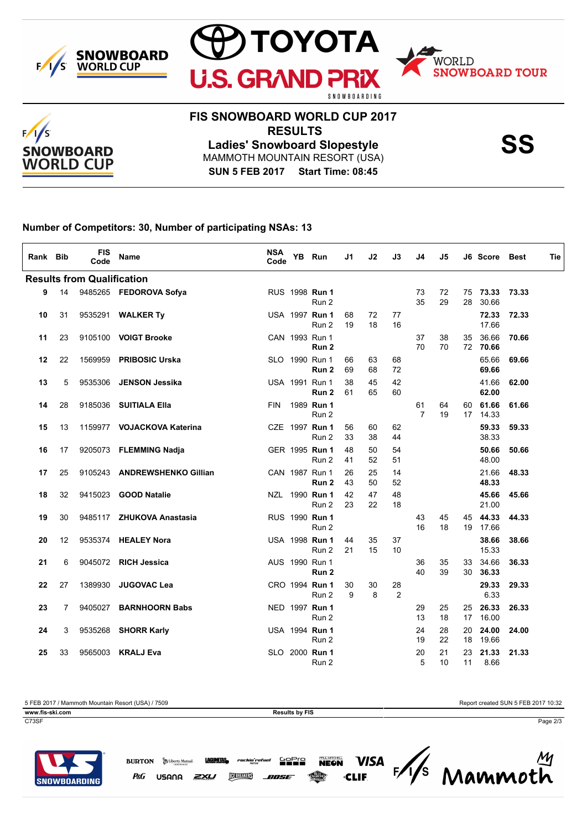





## **FIS SNOWBOARD WORLD CUP 2017 RESULTS**

**SUN 5 FEB 2017 Start Time: 08:45** MAMMOTH MOUNTAIN RESORT (USA) **Ladies' Snowboard Slopestyle SS**

**Number of Competitors: 30, Number of participating NSAs: 13**

| Rank Bib                          |    | <b>FIS</b><br>Code | Name                        | <b>NSA</b><br>Code |  | YB Run                  | J1       | J2       | J3       | J4                   | J5       |          | J6 Score Best     |       | Tie |
|-----------------------------------|----|--------------------|-----------------------------|--------------------|--|-------------------------|----------|----------|----------|----------------------|----------|----------|-------------------|-------|-----|
| <b>Results from Qualification</b> |    |                    |                             |                    |  |                         |          |          |          |                      |          |          |                   |       |     |
| 9                                 | 14 |                    | 9485265 FEDOROVA Sofya      |                    |  | RUS 1998 Run 1<br>Run 2 |          |          |          | 73<br>35             | 72<br>29 | 75<br>28 | 73.33<br>30.66    | 73.33 |     |
| 10                                | 31 | 9535291            | <b>WALKER Ty</b>            |                    |  | USA 1997 Run 1<br>Run 2 | 68<br>19 | 72<br>18 | 77<br>16 |                      |          |          | 72.33<br>17.66    | 72.33 |     |
| 11                                | 23 | 9105100            | <b>VOIGT Brooke</b>         |                    |  | CAN 1993 Run 1<br>Run 2 |          |          |          | 37<br>70             | 38<br>70 | 35       | 36.66<br>72 70.66 | 70.66 |     |
| 12                                | 22 | 1569959            | <b>PRIBOSIC Urska</b>       |                    |  | SLO 1990 Run 1<br>Run 2 | 66<br>69 | 63<br>68 | 68<br>72 |                      |          |          | 65.66<br>69.66    | 69.66 |     |
| 13                                | 5  | 9535306            | <b>JENSON Jessika</b>       |                    |  | USA 1991 Run 1<br>Run 2 | 38<br>61 | 45<br>65 | 42<br>60 |                      |          |          | 41.66<br>62.00    | 62.00 |     |
| 14                                | 28 | 9185036            | <b>SUITIALA Ella</b>        | <b>FIN</b>         |  | 1989 Run 1<br>Run 2     |          |          |          | 61<br>$\overline{7}$ | 64<br>19 | 60       | 61.66<br>17 14.33 | 61.66 |     |
| 15                                | 13 | 1159977            | <b>VOJACKOVA Katerina</b>   |                    |  | CZE 1997 Run 1<br>Run 2 | 56<br>33 | 60<br>38 | 62<br>44 |                      |          |          | 59.33<br>38.33    | 59.33 |     |
| 16                                | 17 |                    | 9205073 FLEMMING Nadja      |                    |  | GER 1995 Run 1<br>Run 2 | 48<br>41 | 50<br>52 | 54<br>51 |                      |          |          | 50.66<br>48.00    | 50.66 |     |
| 17                                | 25 | 9105243            | <b>ANDREWSHENKO Gillian</b> |                    |  | CAN 1987 Run 1<br>Run 2 | 26<br>43 | 25<br>50 | 14<br>52 |                      |          |          | 21.66<br>48.33    | 48.33 |     |
| 18                                | 32 | 9415023            | <b>GOOD Natalie</b>         |                    |  | NZL 1990 Run 1<br>Run 2 | 42<br>23 | 47<br>22 | 48<br>18 |                      |          |          | 45.66<br>21.00    | 45.66 |     |
| 19                                | 30 | 9485117            | <b>ZHUKOVA Anastasia</b>    |                    |  | RUS 1990 Run 1<br>Run 2 |          |          |          | 43<br>16             | 45<br>18 | 45       | 44.33<br>19 17.66 | 44.33 |     |
| 20                                | 12 | 9535374            | <b>HEALEY Nora</b>          |                    |  | USA 1998 Run 1<br>Run 2 | 44<br>21 | 35<br>15 | 37<br>10 |                      |          |          | 38.66<br>15.33    | 38.66 |     |
| 21                                | 6  | 9045072            | <b>RICH Jessica</b>         |                    |  | AUS 1990 Run 1<br>Run 2 |          |          |          | 36<br>40             | 35<br>39 | 33<br>30 | 34.66<br>36.33    | 36.33 |     |
| 22                                | 27 | 1389930            | <b>JUGOVAC Lea</b>          |                    |  | CRO 1994 Run 1<br>Run 2 | 30<br>9  | 30<br>8  | 28<br>2  |                      |          |          | 29.33<br>6.33     | 29.33 |     |
| 23                                | 7  | 9405027            | <b>BARNHOORN Babs</b>       |                    |  | NED 1997 Run 1<br>Run 2 |          |          |          | 29<br>13             | 25<br>18 | 25<br>17 | 26.33<br>16.00    | 26.33 |     |
| 24                                | 3  | 9535268            | <b>SHORR Karly</b>          |                    |  | USA 1994 Run 1<br>Run 2 |          |          |          | 24<br>19             | 28<br>22 | 20<br>18 | 24.00<br>19.66    | 24.00 |     |
| 25                                | 33 | 9565003            | <b>KRALJ Eva</b>            |                    |  | SLO 2000 Run 1<br>Run 2 |          |          |          | 20<br>5              | 21<br>10 | 23<br>11 | 21.33<br>8.66     | 21.33 |     |

5 FEB 2017 / Mammoth Mountain Resort (USA) / 7509 Report created SUN 5 FEB 2017 10:32 **www.fis-ski.com Results by FIS** 

C73SF Page 2/3



Mammoth **VISA BURTON S** Liberty Mutual **LAGUNTAS** rockin'r 남양일 **DEBREAKERS** P&G zxu USANA *ANSE*